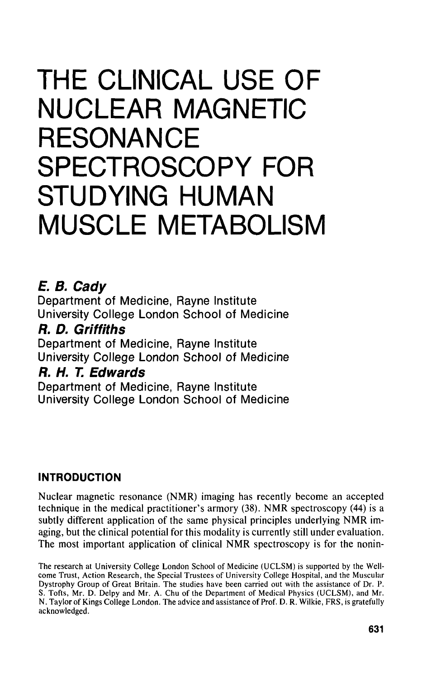# **THE CLINICAL USE OF NUCLEAR MAGNETIC RESONANCE SPECTROSCOPY FOR STUDYING HUMAN MUSCLE METABOLISM**

## **E. B. Cady**

Department of Medicine, Rayne Institute University College London School of Medicine

## **ft D. Griffiths**

Department of Medicine, Rayne Institute University College London School of Medicine

## **ft H. T. Edwards**

Department of Medicine, Rayne Institute University College London School of Medicine

## **INTRODUCTION**

Nuclear magnetic resonance (NMR) imaging has recently become an accepted technique in the medical practitioner's armory (38). NMR spectroscopy (44) is a subtly different application of the same physical principles underlying NMR imaging, but the clinical potential for this modality is currently still under evaluation. The most important application of clinical NMR spectroscopy is for the nonin-

The research at University College London School of Medicine (UCLSM) is supported by the Wellcome Trust, Action Research, the Special Trustees of University College Hospital, and the Muscular Dystrophy Group of Great Britain. The studies have been carried out with the assistance of Dr. P. S. Tofts, Mr. D. Delpy and Mr. A. Chu of the Department of Medical Physics (UCLSM), and Mr. N.Taylor of Kings College London. The advice and assistance of Prof. D. R. Wilkie, FRS, is gratefully acknowledged.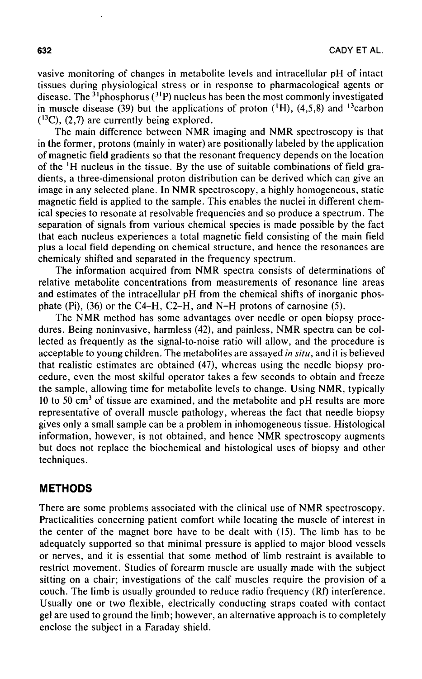vasive monitoring of changes in metabolite levels and intracellular pH of intact tissues during physiological stress or in response to pharmacological agents or disease. The <sup>31</sup>phosphorus (<sup>31</sup>P) nucleus has been the most commonly investigated in muscle disease (39) but the applications of proton  $(^1H)$ , (4,5,8) and <sup>13</sup>carbon  $(13C)$ ,  $(2,7)$  are currently being explored.

The main difference between NMR imaging and NMR spectroscopy is that in the former, protons (mainly in water) are positionally labeled by the application of magnetic field gradients so that the resonant frequency depends on the location of the 'H nucleus in the tissue. By the use of suitable combinations of field gradients, a three-dimensional proton distribution can be derived which can give an image in any selected plane. In NMR spectroscopy, a highly homogeneous, static magnetic field is applied to the sample. This enables the nuclei in different chemical species to resonate at resolvable frequencies and so produce a spectrum. The separation of signals from various chemical species is made possible by the fact that each nucleus experiences a total magnetic field consisting of the main field plus a local field depending on chemical structure, and hence the resonances are chemicaly shifted and separated in the frequency spectrum.

The information acquired from NMR spectra consists of determinations of relative metabolite concentrations from measurements of resonance line areas and estimates of the intracellular pH from the chemical shifts of inorganic phosphate (Pi), (36) or the C4-H, C2-H, and N-H protons of carnosine (5).

The NMR method has some advantages over needle or open biopsy procedures. Being noninvasive, harmless (42), and painless, NMR spectra can be collected as frequently as the signal-to-noise ratio will allow, and the procedure is acceptable to young children. The metabolites are assayed *in situ,* and it is believed that realistic estimates are obtained (47), whereas using the needle biopsy procedure, even the most skilful operator takes a few seconds to obtain and freeze the sample, allowing time for metabolite levels to change. Using NMR, typically 10 to 50 cm<sup>3</sup> of tissue are examined, and the metabolite and pH results are more representative of overall muscle pathology, whereas the fact that needle biopsy gives only a small sample can be a problem in inhomogeneous tissue. Histological information, however, is not obtained, and hence NMR spectroscopy augments but does not replace the biochemical and histological uses of biopsy and other techniques.

#### **METHODS**

There are some problems associated with the clinical use of NMR spectroscopy. Practicalities concerning patient comfort while locating the muscle of interest in the center of the magnet bore have to be dealt with (15). The limb has to be adequately supported so that minimal pressure is applied to major blood vessels or nerves, and it is essential that some method of limb restraint is available to restrict movement. Studies of forearm muscle are usually made with the subject sitting on a chair; investigations of the calf muscles require the provision of a couch. The limb is usually grounded to reduce radio frequency (Rf) interference. Usually one or two flexible, electrically conducting straps coated with contact gel are used to ground the limb; however, an alternative approach is to completely enclose the subject in a Faraday shield.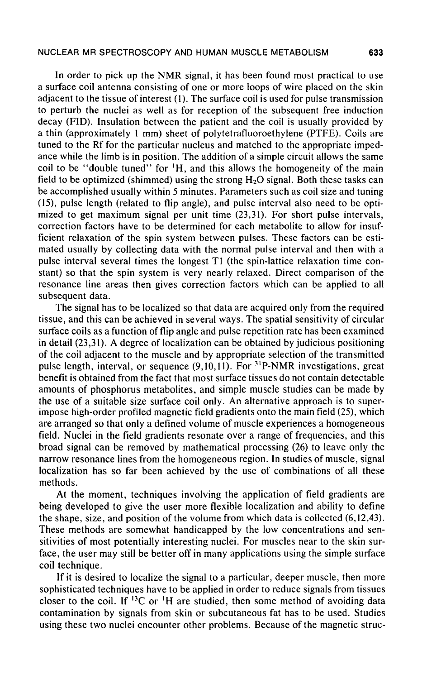In order to pick up the NMR signal, it has been found most practical to use a surface coil antenna consisting of one or more loops of wire placed on the skin adjacent to the tissue of interest (1). The surface coil is used for pulse transmission to perturb the nuclei as well as for reception of the subsequent free induction decay (FID). Insulation between the patient and the coil is usually provided by a thin (approximately 1 mm) sheet of polytetrafluoroethylene (PTFE). Coils are tuned to the Rf for the particular nucleus and matched to the appropriate impedance while the limb is in position. The addition of a simple circuit allows the same coil to be "double tuned" for 'H, and this allows the homogeneity of the main field to be optimized (shimmed) using the strong  $H<sub>2</sub>O$  signal. Both these tasks can be accomplished usually within 5 minutes. Parameters such as coil size and tuning (15), pulse length (related to flip angle), and pulse interval also need to be optimized to get maximum signal per unit time (23,31). For short pulse intervals, correction factors have to be determined for each metabolite to allow for insufficient relaxation of the spin system between pulses. These factors can be estimated usually by collecting data with the normal pulse interval and then with a pulse interval several times the longest Tl (the spin-lattice relaxation time constant) so that the spin system is very nearly relaxed. Direct comparison of the resonance line areas then gives correction factors which can be applied to all subsequent data.

The signal has to be localized so that data are acquired only from the required tissue, and this can be achieved in several ways. The spatial sensitivity of circular surface coils as a function of flip angle and pulse repetition rate has been examined in detail (23,31). A degree of localization can be obtained by judicious positioning of the coil adjacent to the muscle and by appropriate selection of the transmitted pulse length, interval, or sequence (9,10,11). For <sup>31</sup>P-NMR investigations, great benefit is obtained from the fact that most surface tissues do not contain detectable amounts of phosphorus metabolites, and simple muscle studies can be made by the use of a suitable size surface coil only. An alternative approach is to superimpose high-order profiled magnetic field gradients onto the main field (25), which are arranged so that only a defined volume of muscle experiences a homogeneous field. Nuclei in the field gradients resonate over a range of frequencies, and this broad signal can be removed by mathematical processing (26) to leave only the narrow resonance lines from the homogeneous region. In studies of muscle, signal localization has so far been achieved by the use of combinations of all these methods.

At the moment, techniques involving the application of field gradients are being developed to give the user more flexible localization and ability to define the shape, size, and position of the volume from which data is collected (6,12,43). These methods are somewhat handicapped by the low concentrations and sensitivities of most potentially interesting nuclei. For muscles near to the skin surface, the user may still be better off in many applications using the simple surface coil technique.

If it is desired to localize the signal to a particular, deeper muscle, then more sophisticated techniques have to be applied in order to reduce signals from tissues closer to the coil. If  ${}^{13}C$  or  ${}^{1}H$  are studied, then some method of avoiding data contamination by signals from skin or subcutaneous fat has to be used. Studies using these two nuclei encounter other problems. Because of the magnetic struc-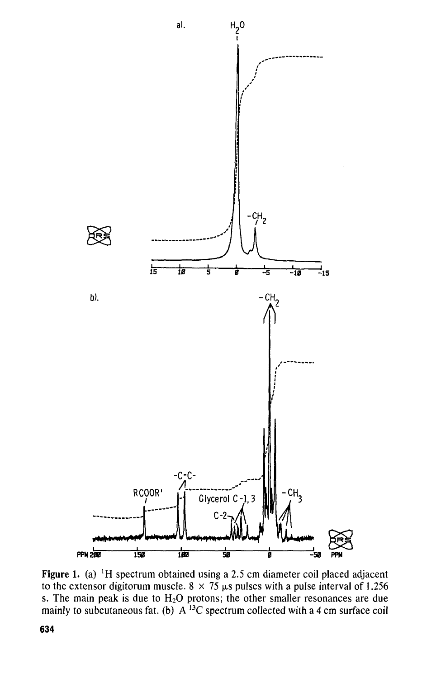

Figure 1. (a) 'H spectrum obtained using a 2.5 cm diameter coil placed adjacent to the extensor digitorum muscle.  $8 \times 75$   $\mu$ s pulses with a pulse interval of 1.256 s. The main peak is due to  $H_2O$  protons; the other smaller resonances are due mainly to subcutaneous fat. (b)  $A^{13}C$  spectrum collected with a 4 cm surface coi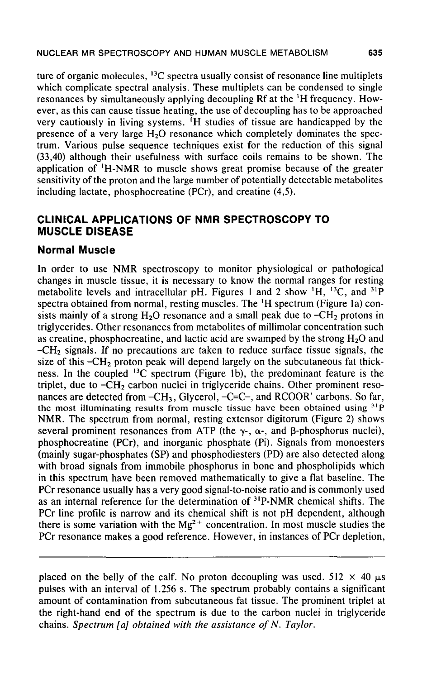ture of organic molecules, <sup>13</sup>C spectra usually consist of resonance line multiplets which complicate spectral analysis. These multiplets can be condensed to single resonances by simultaneously applying decoupling Rf at the 'H frequency. However, as this can cause tissue heating, the use of decoupling has to be approached very cautiously in living systems. 'H studies of tissue are handicapped by the presence of a very large  $H_2O$  resonance which completely dominates the spectrum. Various pulse sequence techniques exist for the reduction of this signal (33,40) although their usefulness with surface coils remains to be shown. The application of 'H-NMR to muscle shows great promise because of the greater sensitivity of the proton and the large number of potentially detectable metabolites including lactate, phosphocreatine (PCr), and creatine (4,5).

### **CLINICAL APPLICATIONS OF NMR SPECTROSCOPY TO MUSCLE DISEASE**

#### **Normal Muscle**

In order to use NMR spectroscopy to monitor physiological or pathological changes in muscle tissue, it is necessary to know the normal ranges for resting metabolite levels and intracellular pH. Figures 1 and 2 show  $^1H$ ,  $^{13}C$ , and  $^{31}H$ spectra obtained from normal, resting muscles. The 'H spectrum (Figure la) consists mainly of a strong  $H_2O$  resonance and a small peak due to  $-CH_2$  protons in triglycerides. Other resonances from metabolites of millimolar concentration such as creatine, phosphocreatine, and lactic acid are swamped by the strong  $H_2O$  and -CH2 signals. If no precautions are taken to reduce surface tissue signals, the size of this  $-CH<sub>2</sub>$  proton peak will depend largely on the subcutaneous fat thickness. In the coupled  $^{13}C$  spectrum (Figure 1b), the predominant feature is the triplet, due to  $-CH<sub>2</sub>$  carbon nuclei in triglyceride chains. Other prominent resonances are detected from  $-CH_3$ , Glycerol,  $-C=-$ , and RCOOR' carbons. So far, the most illuminating results from muscle tissue have been obtained using <sup>31</sup>P NMR. The spectrum from normal, resting extensor digitorum (Figure 2) shows several prominent resonances from ATP (the  $\gamma$ -,  $\alpha$ -, and  $\beta$ -phosphorus nuclei), phosphocreatine (PCr), and inorganic phosphate (Pi). Signals from monoesters (mainly sugar-phosphates (SP) and phosphodiesters (PD) are also detected along with broad signals from immobile phosphorus in bone and phospholipids which in this spectrum have been removed mathematically to give a flat baseline. The PCr resonance usually has a very good signal-to-noise ratio and is commonly used as an internal reference for the determination of <sup>31</sup>P-NMR chemical shifts. The PCr line profile is narrow and its chemical shift is not pH dependent, although there is some variation with the  $Mg^{2+}$  concentration. In most muscle studies the PCr resonance makes a good reference. However, in instances of PCr depletion,

placed on the belly of the calf. No proton decoupling was used. 512  $\times$  40  $\mu$ s pulses with an interval of 1.256 s. The spectrum probably contains a significant amount of contamination from subcutaneous fat tissue. The prominent triplet at the right-hand end of the spectrum is due to the carbon nuclei in triglyceride chains. *Spectrum [a] obtained with the assistance of N. Taylor.*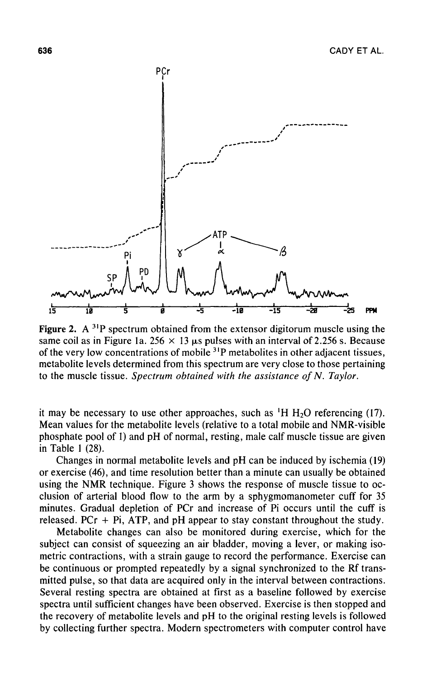

Figure 2.  $A^{31}P$  spectrum obtained from the extensor digitorum muscle using the same coil as in Figure 1a. 256  $\times$  13  $\mu$ s pulses with an interval of 2.256 s. Because of the very low concentrations of mobile <sup>31</sup>P metabolites in other adjacent tissues metabolite levels determined from this spectrum are very close to those pertaining to the muscle tissue. *Spectrum obtained with the assistance of N. Taylor.*

it may be necessary to use other approaches, such as  $H H_{2}O$  referencing (17). Mean values for the metabolite levels (relative to a total mobile and NMR-visible phosphate pool of 1) and pH of normal, resting, male calf muscle tissue are given in Table 1 (28).

Changes in normal metabolite levels and pH can be induced by ischemia (19) or exercise (46), and time resolution better than a minute can usually be obtained using the NMR technique. Figure 3 shows the response of muscle tissue to occlusion of arterial blood flow to the arm by a sphygmomanometer cuff for 35 minutes. Gradual depletion of PCr and increase of Pi occurs until the cuff is released.  $PCr + Pi$ ,  $ATP$ , and  $pH$  appear to stay constant throughout the study.

Metabolite changes can also be monitored during exercise, which for the subject can consist of squeezing an air bladder, moving a lever, or making isometric contractions, with a strain gauge to record the performance. Exercise can be continuous or prompted repeatedly by a signal synchronized to the Rf transmitted pulse, so that data are acquired only in the interval between contractions. Several resting spectra are obtained at first as a baseline followed by exercise spectra until sufficient changes have been observed. Exercise is then stopped and the recovery of metabolite levels and pH to the original resting levels is followed by collecting further spectra. Modern spectrometers with computer control have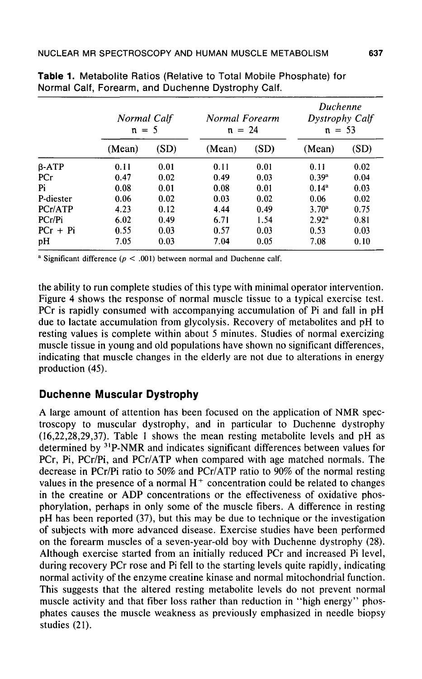|              | Normal Calf<br>$n = 5$ |      | Normal Forearm<br>$n = 24$ |      | Duchenne<br>Dystrophy Calf<br>$n = 53$ |      |
|--------------|------------------------|------|----------------------------|------|----------------------------------------|------|
|              | (Mean)                 | (SD) | (Mean)                     | (SD) | (Mean)                                 | (SD) |
| $\beta$ -ATP | 0.11                   | 0.01 | 0.11                       | 0.01 | 0.11                                   | 0.02 |
| PCr          | 0.47                   | 0.02 | 0.49                       | 0.03 | 0.39 <sup>a</sup>                      | 0.04 |
| Pi           | 0.08                   | 0.01 | 0.08                       | 0.01 | $0.14^a$                               | 0.03 |
| P-diester    | 0.06                   | 0.02 | 0.03                       | 0.02 | 0.06                                   | 0.02 |
| PCr/ATP      | 4.23                   | 0.12 | 4.44                       | 0.49 | $3.70^{\rm a}$                         | 0.75 |
| PCr/Pi       | 6.02                   | 0.49 | 6.71                       | 1.54 | $2.92^{\rm a}$                         | 0.81 |
| $PCr + Pi$   | 0.55                   | 0.03 | 0.57                       | 0.03 | 0.53                                   | 0.03 |
| pH           | 7.05                   | 0.03 | 7.04                       | 0.05 | 7.08                                   | 0.10 |

|                                                    |  |  | Table 1. Metabolite Ratios (Relative to Total Mobile Phosphate) for |  |
|----------------------------------------------------|--|--|---------------------------------------------------------------------|--|
| Normal Calf, Forearm, and Duchenne Dystrophy Calf. |  |  |                                                                     |  |

<sup>a</sup> Significant difference ( $p < .001$ ) between normal and Duchenne calf.

the ability to run complete studies of this type with minimal operator intervention. Figure 4 shows the response of normal muscle tissue to a typical exercise test. PCr is rapidly consumed with accompanying accumulation of Pi and fall in pH due to lactate accumulation from glycolysis. Recovery of metabolites and pH to resting values is complete within about 5 minutes. Studies of normal exercizing muscle tissue in young and old populations have shown no significant differences, indicating that muscle changes in the elderly are not due to alterations in energy production (45).

#### **Duchenne Muscular Dystrophy**

A large amount of attention has been focused on the application of NMR spectroscopy to muscular dystrophy, and in particular to Duchenne dystrophy (16,22,28,29,37). Table 1 shows the mean resting metabolite levels and pH as determined by 3IP-NMR and indicates significant differences between values for PCr, Pi, PCr/Pi, and PCr/ATP when compared with age matched normals. The decrease in PCr/Pi ratio to 50% and PCr/ATP ratio to 90% of the normal resting values in the presence of a normal  $H^+$  concentration could be related to changes in the creatine or ADP concentrations or the effectiveness of oxidative phosphorylation, perhaps in only some of the muscle fibers. A difference in resting pH has been reported (37), but this may be due to technique or the investigation of subjects with more advanced disease. Exercise studies have been performed on the forearm muscles of a seven-year-old boy with Duchenne dystrophy (28). Although exercise started from an initially reduced PCr and increased Pi level, during recovery PCr rose and Pi fell to the starting levels quite rapidly, indicating normal activity of the enzyme creatine kinase and normal mitochondrial function. This suggests that the altered resting metabolite levels do not prevent normal muscle activity and that fiber loss rather than reduction in "high energy" phosphates causes the muscle weakness as previously emphasized in needle biopsy studies (21).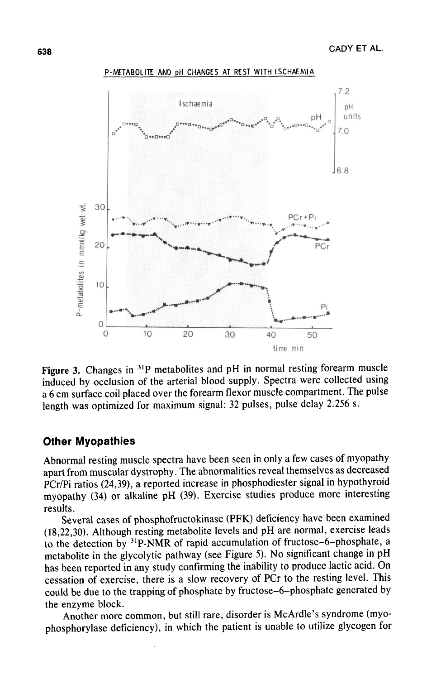

P-METABOLITE AND pH CHANGES AT REST WITH ISCHAEMIA

Figure 3. Changes in <sup>31</sup>P metabolites and pH in normal resting forearm muscle induced by occlusion of the arterial blood supply. Spectra were collected using a 6 cm surface coil placed over the forearm flexor muscle compartment. The pulse length was optimized for maximum signal: 32 pulses, pulse delay 2.256 s.

#### **Other Myopathies**

Abnormal resting muscle spectra have been seen in only a few cases of myopathy apart from muscular dystrophy. The abnormalities reveal themselves as decreased PCr/Pi ratios (24,39), a reported increase in phosphodiester signal in hypothyroid myopathy (34) or alkaline pH (39). Exercise studies produce more interesting results.

Several cases of phosphofructokinase (PFK) deficiency have been examined (18,22,30). Although resting metabolite levels and pH are normal, exercise leads to the detection by 31P-NMR of rapid accumulation of fructose-6-phosphate, a metabolite in the glycolytic pathway (see Figure 5). No significant change in pH has been reported in any study confirming the inability to produce lactic acid. On cessation of exercise, there is a slow recovery of PCr to the resting level. This could be due to the trapping of phosphate by fructose-6-phosphate generated by the enzyme block.

Another more common, but still rare, disorder is McArdle's syndrome (myophosphorylase deficiency), in which the patient is unable to utilize glycogen for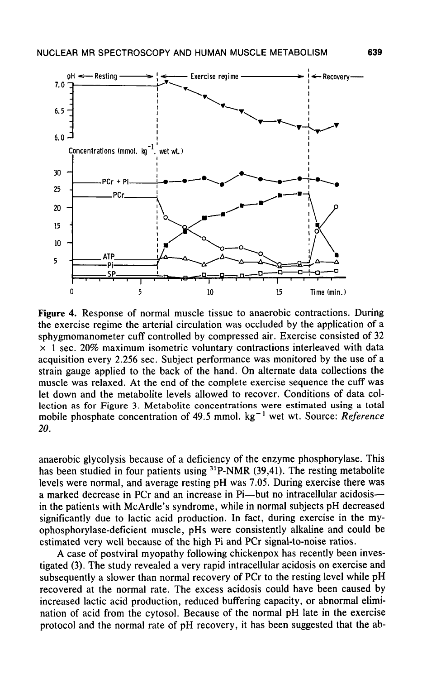

Figure 4. Response of normal muscle tissue to anaerobic contractions. During the exercise regime the arterial circulation was occluded by the application of a sphygmomanometer cuff controlled by compressed air. Exercise consisted of 32  $\times$  1 sec. 20% maximum isometric voluntary contractions interleaved with data acquisition every 2.256 sec. Subject performance was monitored by the use of a strain gauge applied to the back of the hand. On alternate data collections the muscle was relaxed. At the end of the complete exercise sequence the cuff was let down and the metabolite levels allowed to recover. Conditions of data collection as for Figure 3. Metabolite concentrations were estimated using a total mobile phosphate concentration of 49.5 mmol. kg<sup>-1</sup> wet wt. Source: *Reference 20.*

anaerobic glycolysis because of a deficiency of the enzyme phosphorylase. This has been studied in four patients using <sup>31</sup>P-NMR (39,41). The resting metabolite levels were normal, and average resting pH was 7.05. During exercise there was a marked decrease in PCr and an increase in Pi—but no intracellular acidosis in the patients with McArdle's syndrome, while in normal subjects pH decreased significantly due to lactic acid production. In fact, during exercise in the myophosphorylase-deficient muscle, pHs were consistently alkaline and could be estimated very well because of the high Pi and PCr signal-to-noise ratios.

A case of postviral myopathy following chickenpox has recently been investigated (3). The study revealed a very rapid intracellular acidosis on exercise and subsequently a slower than normal recovery of PCr to the resting level while pH recovered at the normal rate. The excess acidosis could have been caused by increased lactic acid production, reduced buffering capacity, or abnormal elimination of acid from the cytosol. Because of the normal pH late in the exercise protocol and the normal rate of pH recovery, it has been suggested that the ab-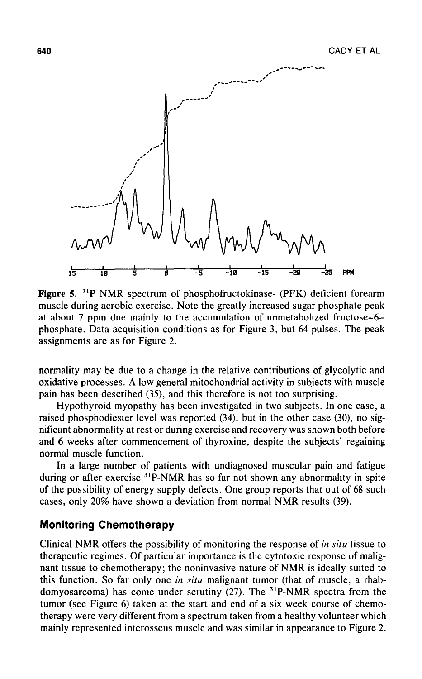

Figure 5. <sup>31</sup>P NMR spectrum of phosphofructokinase- (PFK) deficient forearm muscle during aerobic exercise. Note the greatly increased sugar phosphate peak at about 7 ppm due mainly to the accumulation of unmetabolized fructose-6 phosphate. Data acquisition conditions as for Figure 3, but 64 pulses. The peak assignments are as for Figure 2.

normality may be due to a change in the relative contributions of glycolytic and oxidative processes. A low general mitochondrial activity in subjects with muscle pain has been described (35), and this therefore is not too surprising.

Hypothyroid myopathy has been investigated in two subjects. In one case, a raised phosphodiester level was reported (34), but in the other case (30), no significant abnormality at rest or during exercise and recovery was shown both before and 6 weeks after commencement of thyroxine, despite the subjects' regaining normal muscle function.

In a large number of patients with undiagnosed muscular pain and fatigue during or after exercise <sup>31</sup>P-NMR has so far not shown any abnormality in spite of the possibility of energy supply defects. One group reports that out of 68 such cases, only 20% have shown a deviation from normal NMR results (39).

#### **Monitoring Chemotherapy**

Clinical NMR offers the possibility of monitoring the response of *in situ* tissue to therapeutic regimes. Of particular importance is the cytotoxic response of malignant tissue to chemotherapy; the noninvasive nature of NMR is ideally suited to this function. So far only one *in situ* malignant tumor (that of muscle, a rhabdomyosarcoma) has come under scrutiny  $(27)$ . The <sup>31</sup>P-NMR spectra from the tumor (see Figure 6) taken at the start and end of a six week course of chemotherapy were very different from a spectrum taken from a healthy volunteer which mainly represented interosseus muscle and was similar in appearance to Figure 2.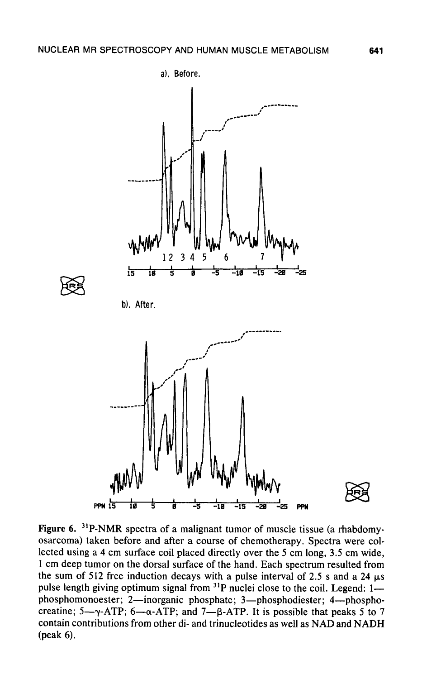

Figure 6. <sup>31</sup>P-NMR spectra of a malignant tumor of muscle tissue (a rhabdomyosarcoma) taken before and after a course of chemotherapy. Spectra were collected using a 4 cm surface coil placed directly over the 5 cm long, 3.5 cm wide, 1 cm deep tumor on the dorsal surface of the hand. Each spectrum resulted from the sum of 512 free induction decays with a pulse interval of 2.5 s and a 24  $\mu$ s pulse length giving optimum signal from <sup>31</sup>P nuclei close to the coil. Legend: 1 phosphomonoester; 2—inorganic phosphate; 3—phosphodiester; 4—phosphocreatine; 5— $\gamma$ -ATP; 6— $\alpha$ -ATP; and 7— $\beta$ -ATP. It is possible that peaks 5 to 7 contain contributions from other di- and trinucleotides as well as NAD and NADH (peak 6).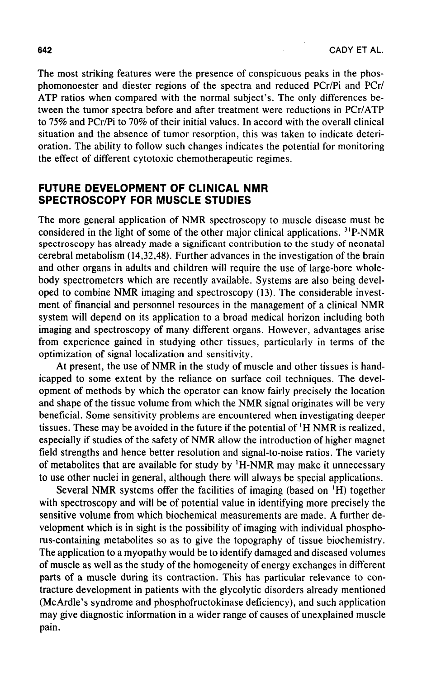The most striking features were the presence of conspicuous peaks in the phosphomonoester and diester regions of the spectra and reduced PCr/Pi and PCr/ ATP ratios when compared with the normal subject's. The only differences between the tumor spectra before and after treatment were reductions in PCr/ATP to 75% and PCr/Pi to 70% of their initial values. In accord with the overall clinical situation and the absence of tumor resorption, this was taken to indicate deterioration. The ability to follow such changes indicates the potential for monitoring the effect of different cytotoxic chemotherapeutic regimes.

#### **FUTURE DEVELOPMENT OF CLINICAL NMR SPECTROSCOPY FOR MUSCLE STUDIES**

The more general application of NMR spectroscopy to muscle disease must be considered in the light of some of the other major clinical applications. <sup>31</sup>P-NMR spectroscopy has already made a significant contribution to the study of neonatal cerebral metabolism (14,32,48). Further advances in the investigation of the brain and other organs in adults and children will require the use of large-bore wholebody spectrometers which are recently available. Systems are also being developed to combine NMR imaging and spectroscopy (13). The considerable investment of financial and personnel resources in the management of a clinical NMR system will depend on its application to a broad medical horizon including both imaging and spectroscopy of many different organs. However, advantages arise from experience gained in studying other tissues, particularly in terms of the optimization of signal localization and sensitivity.

At present, the use of NMR in the study of muscle and other tissues is handicapped to some extent by the reliance on surface coil techniques. The development of methods by which the operator can know fairly precisely the location and shape of the tissue volume from which the NMR signal originates will be very beneficial. Some sensitivity problems are encountered when investigating deeper tissues. These may be avoided in the future if the potential of 'H NMR is realized, especially if studies of the safety of NMR allow the introduction of higher magnet field strengths and hence better resolution and signal-to-noise ratios. The variety of metabolites that are available for study by 'H-NMR may make it unnecessary to use other nuclei in general, although there will always be special applications.

Several NMR systems offer the facilities of imaging (based on 'H) together with spectroscopy and will be of potential value in identifying more precisely the sensitive volume from which biochemical measurements are made. A further development which is in sight is the possibility of imaging with individual phosphorus-containing metabolites so as to give the topography of tissue biochemistry. The application to a myopathy would be to identify damaged and diseased volumes of muscle as well as the study of the homogeneity of energy exchanges in different parts of a muscle during its contraction. This has particular relevance to contracture development in patients with the glycolytic disorders already mentioned (McArdle's syndrome and phosphofructokinase deficiency), and such application may give diagnostic information in a wider range of causes of unexplained muscle pain.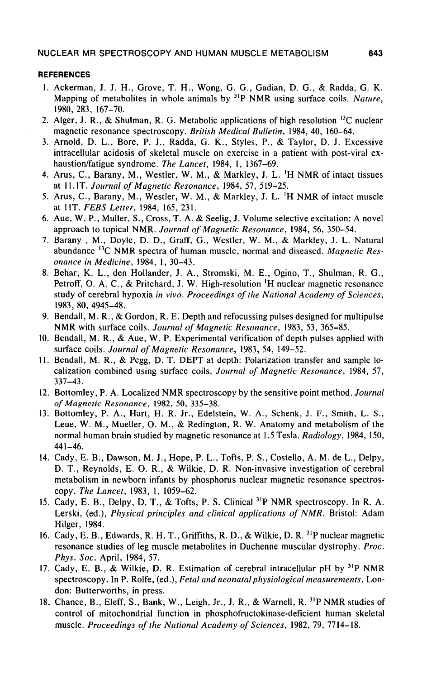#### **REFERENCES**

- 1. Ackerman, J. J. H., Grove, T. H., Wong, G. G., Gadian, D. G., & Radda, G. K. Mapping of metabolites in whole animals by 31P NMR using surface coils. *Nature,* 1980, 283, 167-70.
- 2. Alger, J. R., & Shulman, R. G. Metabolic applications of high resolution  $^{13}C$  nuclear magnetic resonance spectroscopy. *British Medical Bulletin,* 1984, 40, 160-64.
- 3. Arnold, D. L., Bore, P. J., Radda, G. K., Styles, P., & Taylor, D. J. Excessive intracellular acidosis of skeletal muscle on exercise in a patient with post-viral exhaustion/fatigue syndrome. *The Lancet,* 1984, 1, 1367-69.
- 4. Arus, C, Barany, M., Westler, W. M., & Markley, J. L. 'H NMR of intact tissues at 11. IT. *Journal of Magnetic Resonance,* 1984, 57, 519-25.
- 5. Arus, C, Barany, M., Westler, W. M., & Markley, J. L. 'H NMR of intact muscle at 1 IT. *FEBS Letter,* 1984, 165, 231.
- 6. Aue, W. P., Muller, S., Cross, T. A. & Seelig, J. Volume selective excitation: A novel approach to topical NMR. *Journal of Magnetic Resonance,* 1984, 56, 350-54.
- 7. Barany , M., Doyle, D. D., Graff, G., Westler, W. M., & Markley, J. L. Natural abundance <sup>13</sup>C NMR spectra of human muscle, normal and diseased. *Magnetic Resonance in Medicine,* 1984, 1, 30-43.
- 8. Behar, K. L., den Hollander, J. A., Stromski, M. E., Ogino, T., Shulman, R. G., Petroff, O. A. C, & Pritchard, J. W. High-resolution 'H nuclear magnetic resonance study of cerebral hypoxia *in vivo. Proceedings of the National Academy of Sciences,* 1983, 80, 4945-48.
- 9. Bendall, M. R., & Gordon, R. E. Depth and refocussing pulses designed for multipulse NMR with surface coils. *Journal of Magnetic Resonance,* 1983, 53, 365-85.
- 10. Bendall, M. R., & Aue, W. P. Experimental verification of depth pulses applied with surface coils. *Journal of Magnetic Resonance,* 1983, 54, 149-52.
- 11. Bendall, M. R., & Pegg, D. T. DEPT at depth: Polarization transfer and sample localization combined using surface coils. *Journal of Magnetic Resonance,* 1984, 57, 337-43.
- 12. Bottomley, P. A. Localized NMR spectroscopy by the sensitive point method. *Journal of Magnetic Resonance,* 1982, 50, 335-38.
- 13. Bottomley, P. A., Hart, H. R. Jr., Edelstein, W. A., Schenk, J. F., Smith, L. S., Leue, W. M., Mueller, O. M., & Redington, R. W. Anatomy and metabolism of the normal human brain studied by magnetic resonance at 1.5 Tesla. *Radiology,* 1984, 150, 441-46.
- 14. Cady, E. B., Dawson, M. J., Hope, P. L., Tofts, P. S., Costello, A. M. de L., Delpy, D. T., Reynolds, E. O. R., & Wilkie, D. R. Non-invasive investigation of cerebral metabolism in newborn infants by phosphorus nuclear magnetic resonance spectroscopy. *The Lancet,* 1983, 1, 1059-62.
- 15. Cady, E. B., Delpy, D. T., & Tofts, P. S. Clinical <sup>31</sup>P NMR spectroscopy. In R. A. Lerski, (ed.), *Physical principles and clinical applications of NMR.* Bristol: Adam Hilger, 1984.
- 16. Cady, E. B., Edwards, R. H. T., Griffiths, R. D., & Wilkie, D. R. <sup>31</sup>P nuclear magnetic resonance studies of leg muscle metabolites in Duchenne muscular dystrophy. *Proc. Phys. Soc.* April, 1984, 57.
- 17. Cady, E. B., & Wilkie, D. R. Estimation of cerebral intracellular pH by 31P NMR spectroscopy. In P. Rolfe, *(ed.), Fetal and neonatal physiological measurements.* London: Butterworths, in press.
- 18. Chance, B., Eleff, S., Bank, W., Leigh, Jr., J. R., & Warnell, R. <sup>31</sup>P NMR studies of control of mitochondrial function in phosphofructokinase-deficient human skeletal muscle. *Proceedings of the National Academy of Sciences,* 1982, 79, 7714-18.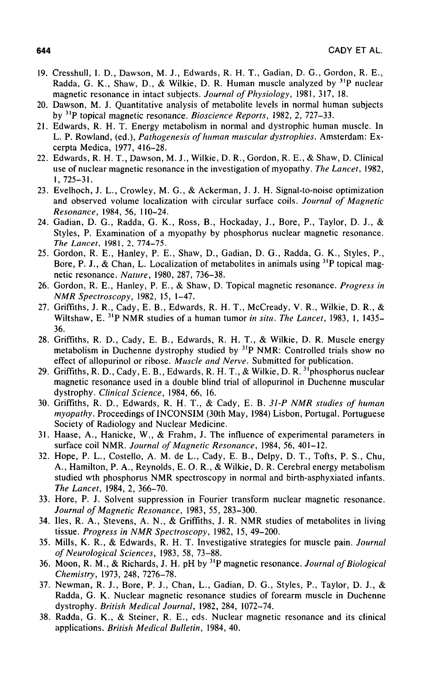- 19. Cresshull, I. D., Dawson, M. J., Edwards, R. H. T., Gadian, D. C, Gordon, R. E., Radda, G. K., Shaw, D., & Wilkie, D. R. Human muscle analyzed by  $31P$  nuclear magnetic resonance in intact subjects. *Journal of Physiology,* 1981, 317, 18.
- 20. Dawson, M. J. Quantitative analysis of metabolite levels in normal human subjects by 3IP topical magnetic resonance. *Bioscience Reports,* 1982, 2, 727-33.
- 21. Edwards, R. H. T. Energy metabolism in normal and dystrophic human muscle. In L. P. Rowland, (ed.), *Pathogenesis of human muscular dystrophies.* Amsterdam: Excerpta Medica, 1977, 416-28.
- 22. Edwards, R. H. T., Dawson, M. J., Wilkie, D. R., Gordon, R. E., & Shaw, D. Clinical use of nuclear magnetic resonance in the investigation of myopathy. *The Lancet,* 1982, 1, 725-31.
- 23. Evelhoch, J. L., Crowley, M. G., & Ackerman, J. J. H. Signal-to-noise optimization and observed volume localization with circular surface coils. *Journal of Magnetic Resonance,* 1984, 56, 110-24.
- 24. Gadian, D. G., Radda, G. K., Ross, B., Hockaday, J., Bore, P., Taylor, D. J., & Styles, P. Examination of a myopathy by phosphorus nuclear magnetic resonance. *The Lancet,* 1981, 2, 774-75.
- 25. Gordon, R. E., Hanley, P. E., Shaw, D., Gadian, D. G., Radda, G. K., Styles, P., Bore, P. J., & Chan, L. Localization of metabolites in animals using  $31P$  topical magnetic resonance. *Nature,* 1980, 287, 736-38.
- 26. Gordon, R. E., Hanley, P. E., & Shaw, D. Topical magnetic resonance. *Progress in NMR Spectroscopy,* 1982, 15, 1-47.
- 27. Griffiths, J. R., Cady, E. B., Edwards, R. H. T., McCready, V. R., Wilkie, D. R., & Wiltshaw, E. 3IP NMR studies of a human tumor *in situ. The Lancet,* 1983, 1, 1435- 36.
- 28. Griffiths, R. D., Cady, E. B., Edwards, R. H. T., & Wilkie, D. R. Muscle energy metabolism in Duchenne dystrophy studied by  $31P$  NMR: Controlled trials show no effect of allopurinol or ribose. *Muscle and Nerve.* Submitted for publication.
- 29. Griffiths, R. D., Cady, E. B., Edwards, R. H. T., & Wilkie, D. R. <sup>31</sup>phosphorus nuclear magnetic resonance used in a double blind trial of allopurinol in Duchenne muscular dystrophy. *Clinical Science,* 1984, 66, 16.
- 30. Griffiths, R. D., Edwards, R. H. T., & Cady, E. B. *31-P NMR studies of human myopathy.* Proceedings of INCONSIM (30th May, 1984) Lisbon, Portugal. Portuguese Society of Radiology and Nuclear Medicine.
- 31. Haase, A., Hanicke, W., & Frahm, J. The influence of experimental parameters in surface coil NMR. *Journal of Magnetic Resonance,* 1984, 56, 401-12.
- 32. Hope, P. L., Costello, A. M. de L., Cady, E. B., Delpy, D. T., Tofts, P. S., Chu, A., Hamilton, P. A., Reynolds, E. O. R., & Wilkie, D. R. Cerebral energy metabolism studied wth phosphorus NMR spectroscopy in normal and birth-asphyxiated infants. *The Lancet,* 1984, 2, 366-70.
- 33. Hore, P. J. Solvent suppression in Fourier transform nuclear magnetic resonance. *Journal of Magnetic Resonance,* 1983, 55, 283-300.
- 34. lies, R. A., Stevens, A. N., & Griffiths, J. R. NMR studies of metabolites in living tissue. *Progress in NMR Spectroscopy,* 1982, 15, 49-200.
- 35. Mills, K. R., & Edwards, R. H. T. Investigative strategies for muscle pain. *Journal of Neurological Sciences,* 1983, 58, 73-88.
- 36. Moon, R. M., & Richards, J. H. pH by 3IP magnetic resonance. *Journal of Biological Chemistry,* 1973, 248, 7276-78.
- 37. Newman, R. J., Bore, P. J., Chan, L., Gadian, D. G., Styles, P., Taylor, D. J., & Radda, G. K. Nuclear magnetic resonance studies of forearm muscle in Duchenne dystrophy. *British Medical Journal,* 1982, 284, 1072-74.
- 38. Radda, G. K., & Steiner, R. E., eds. Nuclear magnetic resonance and its clinical applications. *British Medical Bulletin,* 1984, 40.